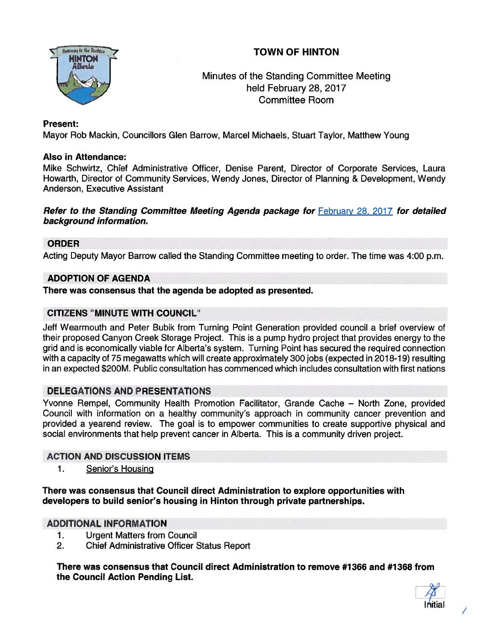# TOWN OF HINTON



# Minutes of the Standing Committee Meeting held February 28, 2017 Committee Room

### Present:

Mayor Rob Mackin, Councillors Glen Barrow, Marcel Michaels, Stuart Taylor, Matthew Young

## Also in Attendance:

Mike Schwirtz, Chief Administrative Officer, Denise Parent, Director of Corporate Services, Laura Howarth, Director of Community Services, Wendy Jones, Director of Planning & Development, Wendy Anderson, Executive Assistant

Refer to the Standing Committee Meeting Agenda package for February 28, 2017 for detailed background information.

### ORDER

Acting Deputy Mayor Barrow called the Standing Committee meeting to order. The time was 4:00 p.m.

## ADOPTION OF AGENDA

There was consensus that the agenda be adopted as presented.

## CITIZENS "MINUTE WITH COUNCIL"

Jeff Wearmouth and Peter Bubik from Turning Point Generation provided council <sup>a</sup> brief overview of their proposed Canyon Creek Storage Project. This is <sup>a</sup> pump hydro project that provides energy to the grid and is economically viable for Alberta's system. Turning Point has secured the required connection with <sup>a</sup> capacity of 75 megawatts which will create approximately 300 jobs (expected in 2018-19) resulting in an expected \$200M. Public consultation has commenced which includes consultation with first nations

### DELEGATIONS AND PRESENTATIONS

Yvonne Rempel, Community Health Promotion Facilitator, Grande Cache — North Zone, provided Council with information on <sup>a</sup> healthy community's approach in community cancer prevention and provided <sup>a</sup> yearend review. The goal is to empower communities to create supportive physical and social environments that help preven<sup>t</sup> cancer in Alberta. This is <sup>a</sup> community driven project.

### ACTION AND DISCUSSION ITEMS

1. Senior's Housing

There was consensus that Council direct Administration to explore opportunities with developers to build senior's housing in Hinton through private partnerships.

### ADDITIONAL INFORMATION

- 1. Urgent Matters from Council
- 2. Chief Administrative Officer Status Report

There was consensus that Council direct Administration to remove #1 366 and #1368 from the Council Action Pending List.